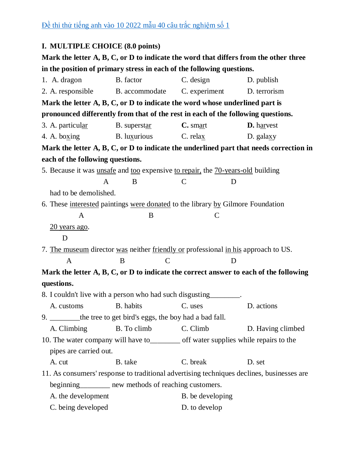## **I. MULTIPLE CHOICE (8.0 points)**

**Mark the letter A, B, C, or D to indicate the word that differs from the other three in the position of primary stress in each of the following questions.**

| 1. A. dragon                                                                           | B. factor                                                                            | C. design        | D. publish                                                                                |  |  |  |  |
|----------------------------------------------------------------------------------------|--------------------------------------------------------------------------------------|------------------|-------------------------------------------------------------------------------------------|--|--|--|--|
| 2. A. responsible                                                                      | B. accommodate                                                                       | C. experiment    | D. terrorism                                                                              |  |  |  |  |
| Mark the letter $A, B, C, or D$ to indicate the word whose underlined part is          |                                                                                      |                  |                                                                                           |  |  |  |  |
| pronounced differently from that of the rest in each of the following questions.       |                                                                                      |                  |                                                                                           |  |  |  |  |
| 3. A. particular                                                                       | B. superstar                                                                         | $C.$ smart       | <b>D.</b> harvest                                                                         |  |  |  |  |
| 4. A. boxing                                                                           | B. luxurious                                                                         | C. relax         | D. galaxy                                                                                 |  |  |  |  |
| Mark the letter A, B, C, or D to indicate the underlined part that needs correction in |                                                                                      |                  |                                                                                           |  |  |  |  |
| each of the following questions.                                                       |                                                                                      |                  |                                                                                           |  |  |  |  |
|                                                                                        | 5. Because it was unsafe and too expensive to repair, the 70-years-old building      |                  |                                                                                           |  |  |  |  |
|                                                                                        | B<br>$\mathsf{A}$                                                                    | $\mathcal{C}$    | D                                                                                         |  |  |  |  |
| had to be demolished.                                                                  |                                                                                      |                  |                                                                                           |  |  |  |  |
| 6. These interested paintings were donated to the library by Gilmore Foundation        |                                                                                      |                  |                                                                                           |  |  |  |  |
| A                                                                                      | B                                                                                    | $\mathsf{C}$     |                                                                                           |  |  |  |  |
| $20$ years ago.                                                                        |                                                                                      |                  |                                                                                           |  |  |  |  |
| D                                                                                      |                                                                                      |                  |                                                                                           |  |  |  |  |
| 7. The museum director was neither friendly or professional in his approach to US.     |                                                                                      |                  |                                                                                           |  |  |  |  |
|                                                                                        |                                                                                      |                  |                                                                                           |  |  |  |  |
| $\mathbf{A}$                                                                           | $\mathbf C$<br>B                                                                     |                  | D                                                                                         |  |  |  |  |
|                                                                                        |                                                                                      |                  | Mark the letter A, B, C, or D to indicate the correct answer to each of the following     |  |  |  |  |
| questions.                                                                             |                                                                                      |                  |                                                                                           |  |  |  |  |
|                                                                                        | 8. I couldn't live with a person who had such disgusting________.                    |                  |                                                                                           |  |  |  |  |
| A. customs                                                                             | B. habits                                                                            | C. uses          | D. actions                                                                                |  |  |  |  |
|                                                                                        | 9. ________ the tree to get bird's eggs, the boy had a bad fall.                     |                  |                                                                                           |  |  |  |  |
| A. Climbing                                                                            | B. To climb                                                                          | C. Climb         | D. Having climbed                                                                         |  |  |  |  |
|                                                                                        | 10. The water company will have to__________ off water supplies while repairs to the |                  |                                                                                           |  |  |  |  |
| pipes are carried out.                                                                 |                                                                                      |                  |                                                                                           |  |  |  |  |
| A. cut                                                                                 | B. take                                                                              | C. break         | D. set                                                                                    |  |  |  |  |
|                                                                                        |                                                                                      |                  | 11. As consumers' response to traditional advertising techniques declines, businesses are |  |  |  |  |
|                                                                                        | beginning_________ new methods of reaching customers.                                |                  |                                                                                           |  |  |  |  |
| A. the development                                                                     |                                                                                      | B. be developing |                                                                                           |  |  |  |  |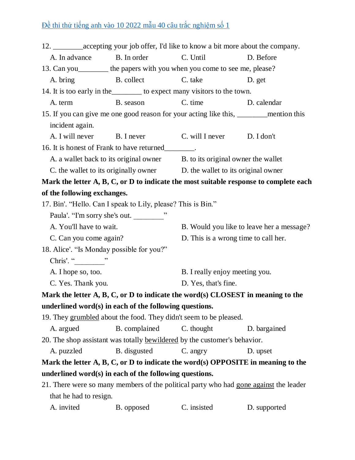|                                                                                       | 12. ______________accepting your job offer, I'd like to know a bit more about the company. |                                      |                                           |  |  |  |  |
|---------------------------------------------------------------------------------------|--------------------------------------------------------------------------------------------|--------------------------------------|-------------------------------------------|--|--|--|--|
| A. In advance                                                                         | B. In order                                                                                | C. Until<br>D. Before                |                                           |  |  |  |  |
|                                                                                       | 13. Can you _________ the papers with you when you come to see me, please?                 |                                      |                                           |  |  |  |  |
|                                                                                       | A. bring B. collect                                                                        | C. take                              | D. get                                    |  |  |  |  |
| 14. It is too early in the ___________ to expect many visitors to the town.           |                                                                                            |                                      |                                           |  |  |  |  |
| A. term                                                                               | B. season                                                                                  | C. time                              | D. calendar                               |  |  |  |  |
|                                                                                       | 15. If you can give me one good reason for your acting like this, _______ mention this     |                                      |                                           |  |  |  |  |
| incident again.                                                                       |                                                                                            |                                      |                                           |  |  |  |  |
| A. I will never                                                                       | B. I never                                                                                 | C. will I never D. I don't           |                                           |  |  |  |  |
|                                                                                       | 16. It is honest of Frank to have returned________.                                        |                                      |                                           |  |  |  |  |
| A. a wallet back to its original owner B. to its original owner the wallet            |                                                                                            |                                      |                                           |  |  |  |  |
| C. the wallet to its originally owner D. the wallet to its original owner             |                                                                                            |                                      |                                           |  |  |  |  |
|                                                                                       | Mark the letter A, B, C, or D to indicate the most suitable response to complete each      |                                      |                                           |  |  |  |  |
|                                                                                       | of the following exchanges.                                                                |                                      |                                           |  |  |  |  |
|                                                                                       | 17. Bin'. "Hello. Can I speak to Lily, please? This is Bin."                               |                                      |                                           |  |  |  |  |
|                                                                                       | Paula'. "I'm sorry she's out.                                                              |                                      |                                           |  |  |  |  |
| A. You'll have to wait.                                                               |                                                                                            |                                      | B. Would you like to leave her a message? |  |  |  |  |
| C. Can you come again?                                                                |                                                                                            | D. This is a wrong time to call her. |                                           |  |  |  |  |
|                                                                                       | 18. Alice'. "Is Monday possible for you?"                                                  |                                      |                                           |  |  |  |  |
| Chris'. " ________ "                                                                  |                                                                                            |                                      |                                           |  |  |  |  |
| A. I hope so, too.                                                                    |                                                                                            | B. I really enjoy meeting you.       |                                           |  |  |  |  |
| C. Yes. Thank you.                                                                    |                                                                                            | D. Yes, that's fine.                 |                                           |  |  |  |  |
| Mark the letter $A, B, C, or D$ to indicate the word(s) CLOSEST in meaning to the     |                                                                                            |                                      |                                           |  |  |  |  |
|                                                                                       | underlined word(s) in each of the following questions.                                     |                                      |                                           |  |  |  |  |
|                                                                                       | 19. They grumbled about the food. They didn't seem to be pleased.                          |                                      |                                           |  |  |  |  |
| A. argued                                                                             | B. complained                                                                              | C. thought                           | D. bargained                              |  |  |  |  |
| 20. The shop assistant was totally bewildered by the customer's behavior.             |                                                                                            |                                      |                                           |  |  |  |  |
| A. puzzled                                                                            | B. disgusted                                                                               | C. angry                             | D. upset                                  |  |  |  |  |
|                                                                                       | Mark the letter $A, B, C, or D$ to indicate the word(s) OPPOSITE in meaning to the         |                                      |                                           |  |  |  |  |
| underlined word(s) in each of the following questions.                                |                                                                                            |                                      |                                           |  |  |  |  |
| 21. There were so many members of the political party who had gone against the leader |                                                                                            |                                      |                                           |  |  |  |  |
| that he had to resign.                                                                |                                                                                            |                                      |                                           |  |  |  |  |
| A. invited                                                                            | B. opposed                                                                                 | C. insisted                          | D. supported                              |  |  |  |  |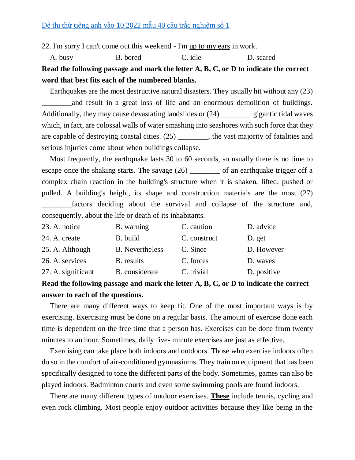22. I'm sorry I can't come out this weekend - I'm up to my ears in work.

A. busy B. bored C. idle D. scared **Read the following passage and mark the letter A, B, C, or D to indicate the correct word that best fits each of the numbered blanks.**

Earthquakes are the most destructive natural disasters. They usually hit without any (23) and result in a great loss of life and an enormous demolition of buildings. Additionally, they may cause devastating landslides or (24) \_\_\_\_\_\_\_\_ gigantic tidal waves which, in fact, are colossal walls of water smashing into seashores with such force that they are capable of destroying coastal cities. (25) \_\_\_\_\_\_\_\_, the vast majority of fatalities and serious injuries come about when buildings collapse.

Most frequently, the earthquake lasts 30 to 60 seconds, so usually there is no time to escape once the shaking starts. The savage (26) \_\_\_\_\_\_\_\_ of an earthquake trigger off a complex chain reaction in the building's structure when it is shaken, lifted, pushed or pulled. A building's height, its shape and construction materials are the most (27) \_\_\_\_\_\_\_\_factors deciding about the survival and collapse of the structure and, consequently, about the life or death of its inhabitants.

| 23. A. notice      | B. warning             | C. caution   | D. advice   |
|--------------------|------------------------|--------------|-------------|
| 24. A. create      | B. build               | C. construct | D. get      |
| 25. A. Although    | <b>B.</b> Nevertheless | C. Since     | D. However  |
| 26. A. services    | B. results             | C. forces    | D. waves    |
| 27. A. significant | B. considerate         | C. trivial   | D. positive |

## **Read the following passage and mark the letter A, B, C, or D to indicate the correct answer to each of the questions.**

There are many different ways to keep fit. One of the most important ways is by exercising. Exercising must be done on a regular basis. The amount of exercise done each time is dependent on the free time that a person has. Exercises can be done from twenty minutes to an hour. Sometimes, daily five- minute exercises are just as effective.

Exercising can take place both indoors and outdoors. Those who exercise indoors often do so in the comfort of air-conditioned gymnasiums. They train on equipment that has been specifically designed to tone the different parts of the body. Sometimes, games can also be played indoors. Badminton courts and even some swimming pools are found indoors.

There are many different types of outdoor exercises. **These** include tennis, cycling and even rock climbing. Most people enjoy outdoor activities because they like being in the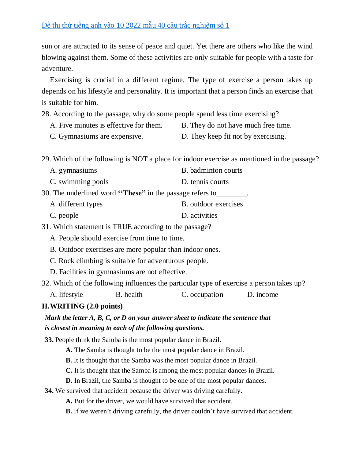sun or are attracted to its sense of peace and quiet. Yet there are others who like the wind blowing against them. Some of these activities are only suitable for people with a taste for adventure.

Exercising is crucial in a different regime. The type of exercise a person takes up depends on his lifestyle and personality. It is important that a person finds an exercise that is suitable for him.

28. According to the passage, why do some people spend less time exercising?

- A. Five minutes is effective for them. B. They do not have much free time.
- C. Gymnasiums are expensive. D. They keep fit not by exercising.

29. Which of the following is NOT a place for indoor exercise as mentioned in the passage?

- A. gymnasiums B. badminton courts
- C. swimming pools D. tennis courts

30. The underlined word **''These"** in the passage refers to\_\_\_\_\_\_\_\_.

- A. different types B. outdoor exercises
- C. people D. activities

31. Which statement is TRUE according to the passage?

A. People should exercise from time to time.

B. Outdoor exercises are more popular than indoor ones.

- C. Rock climbing is suitable for adventurous people.
- D. Facilities in gymnasiums are not effective.

32. Which of the following influences the particular type of exercise a person takes up?

A. lifestyle B. health C. occupation D. income

#### **II.WRITING (2.0 points)**

## *Mark the letter A, B, C, or D on your answer sheet to indicate the sentence that is closest in meaning to each of the following questions.*

**33.** People think the Samba is the most popular dance in Brazil.

**A.** The Samba is thought to be the most popular dance in Brazil.

**B.** It is thought that the Samba was the most popular dance in Brazil.

**C.** It is thought that the Samba is among the most popular dances in Brazil.

**D.** In Brazil, the Samba is thought to be one of the most popular dances.

**34.** We survived that accident because the driver was driving carefully.

**A.** But for the driver, we would have survived that accident.

**B.** If we weren't driving carefully, the driver couldn't have survived that accident.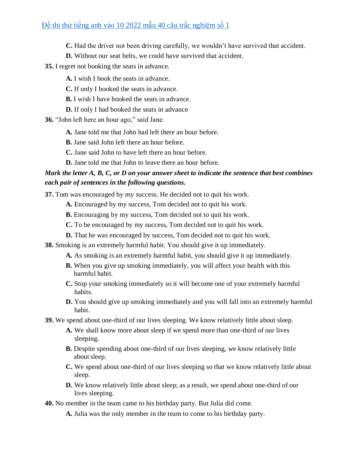**C.** Had the driver not been driving carefully, we wouldn't have survived that accident.

- **D.** Without our seat belts, we could have survived that accident.
- **35.** I regret not booking the seats in advance.
	- **A.** I wish I book the seats in advance.
	- **C.** If only I booked the seats in advance.
	- **B.** I wish I have booked the seats in advance.
	- **D.** If only I had booked the seats in advance

**36.** "John left here an hour ago," said Jane.

- **A.** Jane told me that John had left there an hour before.
- **B.** Jane said John left there an hour before.
- **C.** Jane said John to have left there an hour before.
- **D.** Jane told me that John to leave there an hour before.

### *Mark the letter A, B, C, or D on your answer sheet to indicate the sentence that best combines each pair of sentences in the following questions.*

**37.** Tom was encouraged by my success. He decided not to quit his work.

- **A.** Encouraged by my success, Tom decided not to quit his work.
- **B.** Encouraging by my success, Tom decided not to quit his work.
- **C.** To be encouraged by my success, Tom decided not to quit his work.
- **D.** That he was encouraged by success, Tom decided not to quit his work.
- **38.** Smoking is an extremely harmful habit. You should give it up immediately.
	- **A.** As smoking is an extremely harmful habit, you should give it up immediately.
	- **B.** When you give up smoking immediately, you will affect your health with this harmful habit.
	- **C.** Stop your smoking immediately so it will become one of your extremely harmful habits.
	- **D.** You should give up smoking immediately and you will fall into an extremely harmful habit.

**39.** We spend about one-third of our lives sleeping. We know relatively little about sleep.

- **A.** We shall know more about sleep if we spend more than one-third of our lives sleeping.
- **B.** Despite spending about one-third of our lives sleeping, we know relatively little aboutsleep.
- **C.** We spend about one-third of our lives sleeping so that we know relatively little about sleep.
- **D.** We know relatively little about sleep; as a result, we spend about one-third of our lives sleeping.
- **40.** No member in the team came to his birthday party. But Julia did come.
	- **A.** Julia was the only member in the team to come to his birthday party.